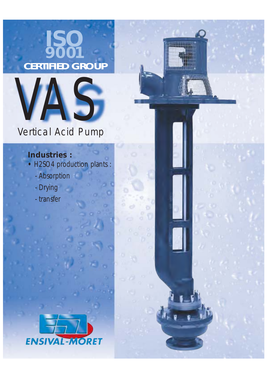# $IS$ **9001 CERTIFIED GROUP**

**INTERES** 



## Vertical Acid Pump

### *Industries :*

- *H2SO4 production plants :*
	- *Absorption*
	- *Drying*
	- *transfer*

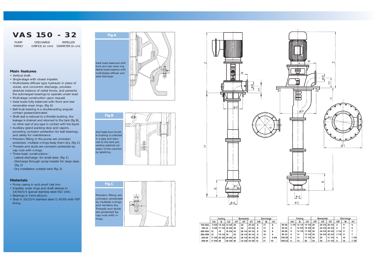### *Main features*

- *Vertical shaft.*
- *Single-stage with closed impeller.*
- *Multi-blades diffuser type hydraulic in place of volute, and concentric discharge, provides absolute balance of radial forces, and prevents the submerged bearings to operate under load.*
- *Multi-stage construction upon request*
- *Axial loads fully balanced with front and rear renewable wear rings. (fig A)*
- *Ball trust bearing is a double-acting angular contact grease-lubricated.*
- *Shaft seal is reduced to a throttle bushing, the leakage is drained and returned to the tank (fig B), no other seal of any type in contact with the liquid.*
- *Auxiliary gland packing stop acid vapors, providing corrosion protection for ball bearings, and safety for maintenance.*
- *Precision fitting in the pump are corrosion protected, multiple o-rings keep them dry. (fig C)*
- *Threads and studs are corrosion protected by cap nuts with o-rings.*
- *Three basic constructions : - Lateral discharge for small sizes (fig 1) - Discharge through sump header for large sizes (fig 2)*
- *Dry installation outside tank (fig 3)*

#### *Materials*

- *Pump casing in acid proof cast iron.*
- *Impeller, wear rings and shaft sleeves in 14/40/5/5 special stainless steel (NZ 144).*
- *Bearings in Ferro-silicium.*
- *Shat in 20/25/4 stainless steel (1.4539) with FEP lining.*

### *VA S 150 - 32*

*PUMP DISCHARGE IMPELLER*

*FAMILY ORIFICE (in mm) DIAMETER (in cm)*



*Fig.B Acid leaks from throttle bushing is collected in a pipe and returned to the tank preventing external corrosion of the columns by splashing.*





|         | Casing    |              | <b>Baseplate</b>        |    |    | Discharge        |    |    |      | Casing     |      |       | <b>Baseplate</b> |    |        | <b>Discharge</b> |          |    |       |
|---------|-----------|--------------|-------------------------|----|----|------------------|----|----|------|------------|------|-------|------------------|----|--------|------------------|----------|----|-------|
|         | ΦA        | в            | $\Phi$ C                | ΦP | ΦF | ΦТ               | ΦR | м  | H1   |            | ΦA   | в     | $\Phi$ C         | ФP | ΦF     | ΦT               | ΦR       | м  | H1    |
| 150-28A |           |              | 9 5/8 14 3/4 14 3/8 20  |    | 24 | 25 3/4           | 6  | 17 | 8    | $50-26$    | 31/4 |       | 12 1/4 16 1/4 20 |    | 24 3/4 | 26 3/4           | 2        | 11 | 6     |
| 150-32  |           | 9 5/8 17 1/4 | 16 3/8 20               |    | 24 | 253/4            |    | 17 | 8    | 50-32      | 4    | 123/8 | 18 3/8 20        |    | 24 3/4 | 26 3/4           |          | 11 | 6     |
| 200-30A | 12        | 18           | 16 3/4 24               |    |    | 28 1/4 30 1/4    |    | 19 | 8    | 80-26      |      |       | 14 1/8 17 3/8 20 |    | 24 3/4 | 26 3/4           | 3 1/4 11 |    |       |
| 200-30B | -12       | 19 1/4 18    |                         | 24 |    | 28 1/4 30 1/4    |    | 19 | 8    | 80-32      |      | 14    | 19 1/4 20        |    | 24 3/4 | 263/4            | 3 1/4 11 |    |       |
| 250-44  |           |              | 17 5/8 26 3/8 24 5/8 24 |    |    | 28 1/4 30 1/4 10 |    | 21 | 95/8 | $100 - 26$ |      | 14    | 17 1/4 24        |    | 29     | 311/4            | 4        | 14 | 7 3/8 |
| 300-44  | 17 5/8 28 |              | 26 3/8 28               |    |    | 32 3/8 34 3/8 12 |    | 21 | 10   | $100 - 32$ |      | 14    | 20               | 24 | 29     | 311/4            |          | 14 | 73/8  |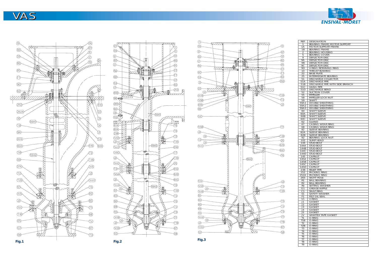| REP.             | <b>DESIGNATION</b>                               |
|------------------|--------------------------------------------------|
| 1                | BEARING FRAME MOTOR SUPPORT                      |
| 1A               | <b>MOTOR SUPPORT FRAME</b>                       |
| 1B               | <b>BEARING FRAME</b>                             |
| $\overline{2}$   | <b>BEARING HOUSING</b>                           |
| 5                | <b>BEARING COVER</b>                             |
| 9<br>9Α          | <b>DEFLECTOR DISC</b><br><b>DEFLECTOR DISC</b>   |
| <b>9B</b>        | <b>DEFLECTOR DISC</b>                            |
| 9C               | DEFLECTOR DISC                                   |
| 9D               | V-RING RETAINING RING                            |
| 10               | <b>THROAT BUSHING</b>                            |
| 22               | <b>BASE PLATE</b>                                |
| 25               | <b>INTERMEDIATE BEARING</b>                      |
| 51               | <b>DISCHARGE COLLECTOR</b>                       |
| 51A              | <b>DISCHARGE PIPE</b>                            |
| 51B              | DISCHARGE PIPE WITH SIDE BRANCH                  |
| 51C              | <b>HANG PIPE</b>                                 |
| 51D              | <b>DISCHARGE BEND</b>                            |
| 52<br>55         | <b>SUCTION COVER</b><br><b>IMPELLER</b>          |
| 58               | <b>IMPELLER LOCK NUT</b>                         |
| 59               | <b>SHAFT</b>                                     |
| 59A1             | DOUBLE SHEATHING                                 |
| 59A2             | <b>DOUBLE SHEATHING</b>                          |
| 59A3             | DOUBLE SHEATHING                                 |
| 60               | SHAFT SLEEVE                                     |
| 60A              | <b>SHAFT SLEEVE</b>                              |
| 60B              | <b>SHAFT SLEEVE</b>                              |
| 60C              | <b>SHAFT SLEEVE</b>                              |
| 62               | <b>GLAND</b>                                     |
| 67               | <b>CASING WEAR RING</b>                          |
| 68<br>82         | <b>CASING WEAR RING</b><br><b>SLEEVE BEARING</b> |
| 82A              | <b>SLEEVE BEARING</b>                            |
| 82B              | <b>SLEEVE BEARING</b>                            |
| 92               | <b>BEARING LOCK NUT</b>                          |
| 102              | <b>SUMP HEAD</b>                                 |
| 144              | STUD-BOLT                                        |
| 144A             | <b>STUD-BOLT</b>                                 |
| 144B             | STUD-BOLT                                        |
| 144C             | <b>STUD-BOLT</b>                                 |
| 144D             | STUD-BOLT                                        |
| 145<br>145A      | <b>CAPNUT</b><br><b>CAPNUT</b>                   |
| 145B             | <b>CAPNUT</b>                                    |
| 145C             | CAPNUT                                           |
| 145D             | CAPNUT                                           |
| 238              | <b>RELIEF PIPE</b>                               |
| 252              | PACKING RING                                     |
| 252A             | <b>PACKING RING</b>                              |
| 265              | <b>SIGHT HOLE</b>                                |
| R <sub>1</sub>   | <b>BALL BEARING</b>                              |
| R <sub>2</sub>   | <b>BALL BEARING</b>                              |
| Re               | SETTING WASHER<br><b>GREASE-NIPPLE</b>           |
| G1<br>C1         | <b>SNAP RING</b>                                 |
| S1               | <b>SAFETY WASHER</b>                             |
| F <sub>1</sub>   | FELT OIL SEAL                                    |
| V1               | V-RING                                           |
| J1               | <b>GASKET</b>                                    |
| J2               | <b>GASKET</b>                                    |
| J3               | <b>GASKET</b>                                    |
| J4               | <b>GASKET</b>                                    |
| J <sub>5</sub>   | <b>GASKET</b>                                    |
| JV<br>T1         | <b>VANETEX TAPE GASKET</b><br>O-RING             |
| T <sub>1</sub> B | O-RING                                           |
| T <sub>2</sub>   | O-RING                                           |
| T <sub>2</sub> B | O-RING                                           |
| T3               | O-RING                                           |
| Τ4               | O-RING                                           |
| T <sub>5</sub>   | O-RING                                           |
| T6               | O-RING                                           |
| T7               | O-RING                                           |
| T8               | O-RING                                           |
| T <sub>9</sub>   | O-RING                                           |



## VA S

 $\textcircled{\scriptsize{9}}$  $\circledR$ CHIZZ  $\sqrt{G}$  $\circled{2}$  $(5)$  $\circledS$  $\Diamond$  $\circled{R}$ X  $<sup>②</sup>$ </sup>  $(F)$  $\circledcirc$  $\begin{array}{c}\n\boxed{62} \\
\hline\n\end{array}$ 我  $\boxtimes$  $\frac{1}{50}$  $(252)$  $\sqrt{22}$  $(252A)$  $\bigoplus$  $(10)$  $(59A)$  $\bigcirc$  $(T9)$ 图长长  $\circled{A}$  $\overline{\mathbf{z}}$  $\bigcirc$  $\frac{1}{\sqrt{12}}$  $\sqrt{53}$  $(82A)$  $\sqrt{51}$  $60B$  $60A$  $\sqrt{2}$  $(T8)$  $(59A2)$  $(T2B)$  $\circledS$  $\sqrt{145}$  $\circled{51A}$ **REPARA**  $\bigoplus$  $\bigcirc$  $(T2B)$  $(144)$ Ø  $\sqrt{5}$  $\bigcirc$ **AN** 圈  $(145)$  $(82)$  $\overline{60}$  $\textcircled{12}$  $(144)$ Û A  $(T1B)$ **THE**  $-68$ **65**  $\bigoplus$  $\circled{67}$  $(52)$  $\frac{1}{2}$ the  $\sqrt{13}$  $(58)$ 



*Fig.1*